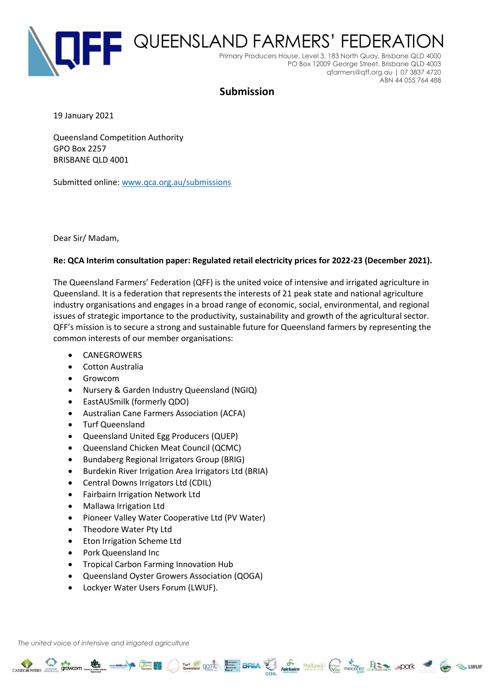

# **Submission**

19 January 2021

Queensland Competition Authority GPO Box 2257 BRISBANE QLD 4001

Submitted online: [www.qca.org.au/submissions](http://www.qca.org.au/submissions)

Dear Sir/ Madam,

#### **Re: QCA Interim consultation paper: Regulated retail electricity prices for 2022-23 (December 2021).**

The Queensland Farmers' Federation (QFF) is the united voice of intensive and irrigated agriculture in Queensland. It is a federation that represents the interests of 21 peak state and national agriculture industry organisations and engages in a broad range of economic, social, environmental, and regional issues of strategic importance to the productivity, sustainability and growth of the agricultural sector. QFF's mission is to secure a strong and sustainable future for Queensland farmers by representing the common interests of our member organisations:

CANEGROWERS STOWCOM COME TO THE RESERVE OF THE CANAL PROPERTY AND THE CANAL STOCK OF THE CANAL STOCK OF THE CONTRACTORS ... POOK 3

- CANEGROWERS
- Cotton Australia
- Growcom
- Nursery & Garden Industry Queensland (NGIQ)
- EastAUSmilk (formerly QDO)
- Australian Cane Farmers Association (ACFA)
- Turf Queensland
- Queensland United Egg Producers (QUEP)
- Queensland Chicken Meat Council (QCMC)
- Bundaberg Regional Irrigators Group (BRIG)
- Burdekin River Irrigation Area Irrigators Ltd (BRIA)
- Central Downs Irrigators Ltd (CDIL)
- Fairbairn Irrigation Network Ltd
- Mallawa Irrigation Ltd
- Pioneer Valley Water Cooperative Ltd (PV Water)
- Theodore Water Pty Ltd
- Eton Irrigation Scheme Ltd
- Pork Queensland Inc
- Tropical Carbon Farming Innovation Hub
- Queensland Oyster Growers Association (QOGA)
- Lockyer Water Users Forum (LWUF).

*The united voice of intensive and irrigated agriculture*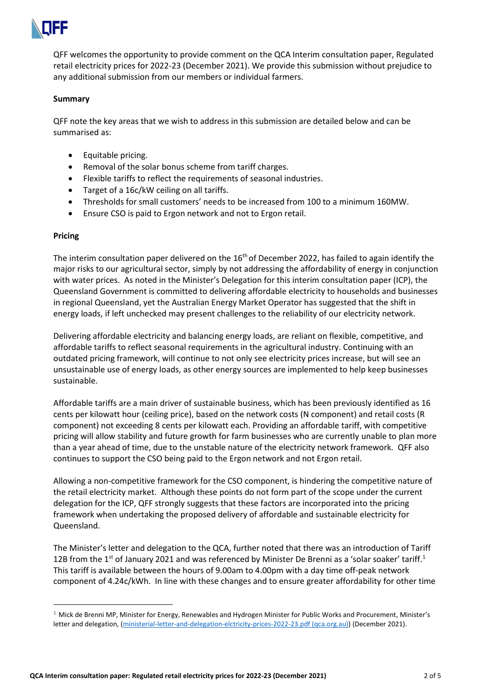

QFF welcomes the opportunity to provide comment on the QCA Interim consultation paper, Regulated retail electricity prices for 2022-23 (December 2021). We provide this submission without prejudice to any additional submission from our members or individual farmers.

#### **Summary**

QFF note the key areas that we wish to address in this submission are detailed below and can be summarised as:

- Equitable pricing.
- Removal of the solar bonus scheme from tariff charges.
- Flexible tariffs to reflect the requirements of seasonal industries.
- Target of a 16c/kW ceiling on all tariffs.
- Thresholds for small customers' needs to be increased from 100 to a minimum 160MW.
- Ensure CSO is paid to Ergon network and not to Ergon retail.

#### **Pricing**

The interim consultation paper delivered on the  $16<sup>th</sup>$  of December 2022, has failed to again identify the major risks to our agricultural sector, simply by not addressing the affordability of energy in conjunction with water prices. As noted in the Minister's Delegation for this interim consultation paper (ICP), the Queensland Government is committed to delivering affordable electricity to households and businesses in regional Queensland, yet the Australian Energy Market Operator has suggested that the shift in energy loads, if left unchecked may present challenges to the reliability of our electricity network.

Delivering affordable electricity and balancing energy loads, are reliant on flexible, competitive, and affordable tariffs to reflect seasonal requirements in the agricultural industry. Continuing with an outdated pricing framework, will continue to not only see electricity prices increase, but will see an unsustainable use of energy loads, as other energy sources are implemented to help keep businesses sustainable.

Affordable tariffs are a main driver of sustainable business, which has been previously identified as 16 cents per kilowatt hour (ceiling price), based on the network costs (N component) and retail costs (R component) not exceeding 8 cents per kilowatt each. Providing an affordable tariff, with competitive pricing will allow stability and future growth for farm businesses who are currently unable to plan more than a year ahead of time, due to the unstable nature of the electricity network framework. QFF also continues to support the CSO being paid to the Ergon network and not Ergon retail.

Allowing a non-competitive framework for the CSO component, is hindering the competitive nature of the retail electricity market. Although these points do not form part of the scope under the current delegation for the ICP, QFF strongly suggests that these factors are incorporated into the pricing framework when undertaking the proposed delivery of affordable and sustainable electricity for Queensland.

The Minister's letter and delegation to the QCA, further noted that there was an introduction of Tariff 12B from the 1<sup>st</sup> of January 2021 and was referenced by Minister De Brenni as a 'solar soaker' tariff.<sup>1</sup> This tariff is available between the hours of 9.00am to 4.00pm with a day time off-peak network component of 4.24c/kWh. In line with these changes and to ensure greater affordability for other time

<sup>&</sup>lt;sup>1</sup> Mick de Brenni MP, Minister for Energy, Renewables and Hydrogen Minister for Public Works and Procurement, Minister's letter and delegation, [\(ministerial-letter-and-delegation-elctricity-prices-2022-23.pdf \(qca.org.au\)\)](https://www.qca.org.au/wp-content/uploads/2021/12/ministerial-letter-and-delegation-elctricity-prices-2022-23.pdf) (December 2021).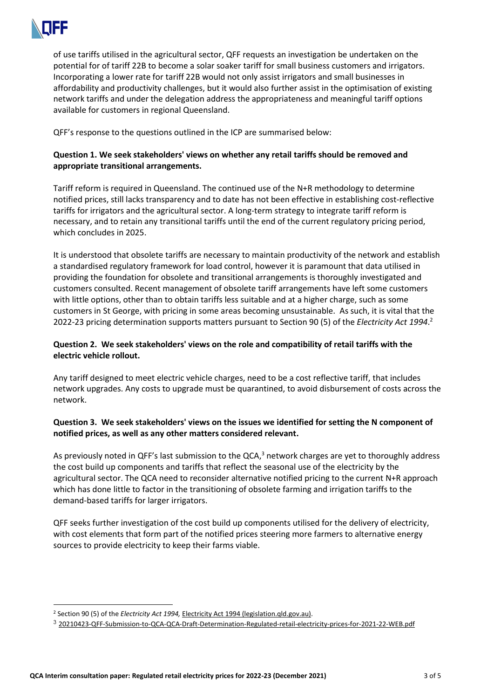

of use tariffs utilised in the agricultural sector, QFF requests an investigation be undertaken on the potential for of tariff 22B to become a solar soaker tariff for small business customers and irrigators. Incorporating a lower rate for tariff 22B would not only assist irrigators and small businesses in affordability and productivity challenges, but it would also further assist in the optimisation of existing network tariffs and under the delegation address the appropriateness and meaningful tariff options available for customers in regional Queensland.

QFF's response to the questions outlined in the ICP are summarised below:

# **Question 1. We seek stakeholders' views on whether any retail tariffs should be removed and appropriate transitional arrangements.**

Tariff reform is required in Queensland. The continued use of the N+R methodology to determine notified prices, still lacks transparency and to date has not been effective in establishing cost-reflective tariffs for irrigators and the agricultural sector. A long-term strategy to integrate tariff reform is necessary, and to retain any transitional tariffs until the end of the current regulatory pricing period, which concludes in 2025.

It is understood that obsolete tariffs are necessary to maintain productivity of the network and establish a standardised regulatory framework for load control, however it is paramount that data utilised in providing the foundation for obsolete and transitional arrangements is thoroughly investigated and customers consulted. Recent management of obsolete tariff arrangements have left some customers with little options, other than to obtain tariffs less suitable and at a higher charge, such as some customers in St George, with pricing in some areas becoming unsustainable. As such, it is vital that the 2022-23 pricing determination supports matters pursuant to Section 90 (5) of the *Electricity Act 1994*. 2

# **Question 2. We seek stakeholders' views on the role and compatibility of retail tariffs with the electric vehicle rollout.**

Any tariff designed to meet electric vehicle charges, need to be a cost reflective tariff, that includes network upgrades. Any costs to upgrade must be quarantined, to avoid disbursement of costs across the network.

# **Question 3. We seek stakeholders' views on the issues we identified for setting the N component of notified prices, as well as any other matters considered relevant.**

As previously noted in QFF's last submission to the QCA, $^3$  network charges are yet to thoroughly address the cost build up components and tariffs that reflect the seasonal use of the electricity by the agricultural sector. The QCA need to reconsider alternative notified pricing to the current N+R approach which has done little to factor in the transitioning of obsolete farming and irrigation tariffs to the demand-based tariffs for larger irrigators.

QFF seeks further investigation of the cost build up components utilised for the delivery of electricity, with cost elements that form part of the notified prices steering more farmers to alternative energy sources to provide electricity to keep their farms viable.

<sup>&</sup>lt;sup>2</sup> Section 90 (5) of the *Electricity Act 1994, [Electricity Act 1994 \(legislation.qld.gov.au\).](https://www.legislation.qld.gov.au/view/pdf/inforce/current/act-1994-064)* 

<sup>3</sup> [20210423-QFF-Submission-to-QCA-QCA-Draft-Determination-Regulated-retail-electricity-prices-for-2021-22-WEB.pdf](https://www.qff.org.au/wp-content/uploads/2017/04/20210423-QFF-Submission-to-QCA-QCA-Draft-Determination-Regulated-retail-electricity-prices-for-2021-22-WEB.pdf)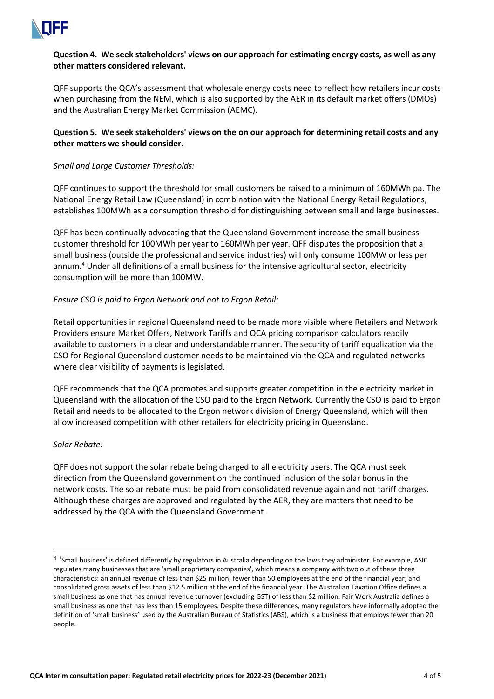

### **Question 4. We seek stakeholders' views on our approach for estimating energy costs, as well as any other matters considered relevant.**

QFF supports the QCA's assessment that wholesale energy costs need to reflect how retailers incur costs when purchasing from the NEM, which is also supported by the AER in its default market offers (DMOs) and the Australian Energy Market Commission (AEMC).

### **Question 5. We seek stakeholders' views on the on our approach for determining retail costs and any other matters we should consider.**

### *Small and Large Customer Thresholds:*

QFF continues to support the threshold for small customers be raised to a minimum of 160MWh pa. The National Energy Retail Law (Queensland) in combination with the National Energy Retail Regulations, establishes 100MWh as a consumption threshold for distinguishing between small and large businesses.

QFF has been continually advocating that the Queensland Government increase the small business customer threshold for 100MWh per year to 160MWh per year. QFF disputes the proposition that a small business (outside the professional and service industries) will only consume 100MW or less per annum.<sup>4</sup> Under all definitions of a small business for the intensive agricultural sector, electricity consumption will be more than 100MW.

### *Ensure CSO is paid to Ergon Network and not to Ergon Retail:*

Retail opportunities in regional Queensland need to be made more visible where Retailers and Network Providers ensure Market Offers, Network Tariffs and QCA pricing comparison calculators readily available to customers in a clear and understandable manner. The security of tariff equalization via the CSO for Regional Queensland customer needs to be maintained via the QCA and regulated networks where clear visibility of payments is legislated.

QFF recommends that the QCA promotes and supports greater competition in the electricity market in Queensland with the allocation of the CSO paid to the Ergon Network. Currently the CSO is paid to Ergon Retail and needs to be allocated to the Ergon network division of Energy Queensland, which will then allow increased competition with other retailers for electricity pricing in Queensland.

#### *Solar Rebate:*

QFF does not support the solar rebate being charged to all electricity users. The QCA must seek direction from the Queensland government on the continued inclusion of the solar bonus in the network costs. The solar rebate must be paid from consolidated revenue again and not tariff charges. Although these charges are approved and regulated by the AER, they are matters that need to be addressed by the QCA with the Queensland Government.

<sup>4</sup> 'Small business' is defined differently by regulators in Australia depending on the laws they administer. For example, ASIC regulates many businesses that are 'small proprietary companies', which means a company with two out of these three characteristics: an annual revenue of less than \$25 million; fewer than 50 employees at the end of the financial year; and consolidated gross assets of less than \$12.5 million at the end of the financial year. The Australian Taxation Office defines a small business as one that has annual revenue turnover (excluding GST) of less than \$2 million. Fair Work Australia defines a small business as one that has less than 15 employees. Despite these differences, many regulators have informally adopted the definition of 'small business' used by the Australian Bureau of Statistics (ABS), which is a business that employs fewer than 20 people.